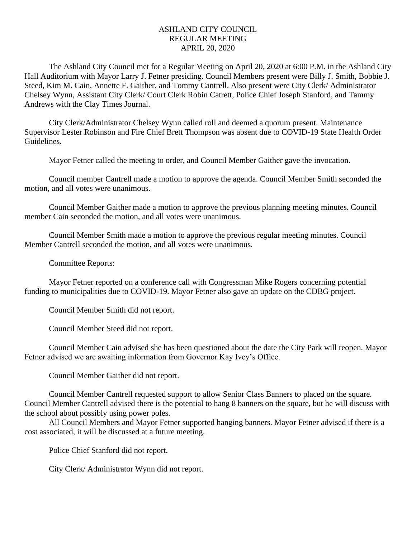## ASHLAND CITY COUNCIL REGULAR MEETING APRIL 20, 2020

The Ashland City Council met for a Regular Meeting on April 20, 2020 at 6:00 P.M. in the Ashland City Hall Auditorium with Mayor Larry J. Fetner presiding. Council Members present were Billy J. Smith, Bobbie J. Steed, Kim M. Cain, Annette F. Gaither, and Tommy Cantrell. Also present were City Clerk/ Administrator Chelsey Wynn, Assistant City Clerk/ Court Clerk Robin Catrett, Police Chief Joseph Stanford, and Tammy Andrews with the Clay Times Journal.

City Clerk/Administrator Chelsey Wynn called roll and deemed a quorum present. Maintenance Supervisor Lester Robinson and Fire Chief Brett Thompson was absent due to COVID-19 State Health Order Guidelines.

Mayor Fetner called the meeting to order, and Council Member Gaither gave the invocation.

Council member Cantrell made a motion to approve the agenda. Council Member Smith seconded the motion, and all votes were unanimous.

Council Member Gaither made a motion to approve the previous planning meeting minutes. Council member Cain seconded the motion, and all votes were unanimous.

Council Member Smith made a motion to approve the previous regular meeting minutes. Council Member Cantrell seconded the motion, and all votes were unanimous.

Committee Reports:

Mayor Fetner reported on a conference call with Congressman Mike Rogers concerning potential funding to municipalities due to COVID-19. Mayor Fetner also gave an update on the CDBG project.

Council Member Smith did not report.

Council Member Steed did not report.

Council Member Cain advised she has been questioned about the date the City Park will reopen. Mayor Fetner advised we are awaiting information from Governor Kay Ivey's Office.

Council Member Gaither did not report.

Council Member Cantrell requested support to allow Senior Class Banners to placed on the square. Council Member Cantrell advised there is the potential to hang 8 banners on the square, but he will discuss with the school about possibly using power poles.

All Council Members and Mayor Fetner supported hanging banners. Mayor Fetner advised if there is a cost associated, it will be discussed at a future meeting.

Police Chief Stanford did not report.

City Clerk/ Administrator Wynn did not report.